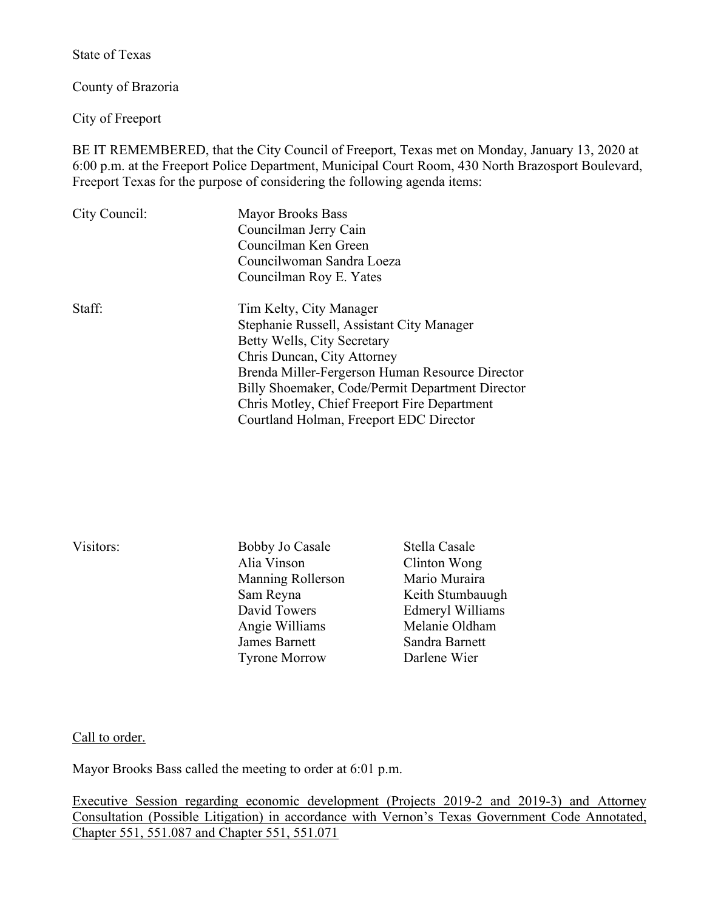State of Texas

County of Brazoria

City of Freeport

BE IT REMEMBERED, that the City Council of Freeport, Texas met on Monday, January 13, 2020 at 6:00 p.m. at the Freeport Police Department, Municipal Court Room, 430 North Brazosport Boulevard, Freeport Texas for the purpose of considering the following agenda items:

| City Council: | <b>Mayor Brooks Bass</b>                         |
|---------------|--------------------------------------------------|
|               | Councilman Jerry Cain                            |
|               | Councilman Ken Green                             |
|               | Councilwoman Sandra Loeza                        |
|               | Councilman Roy E. Yates                          |
| Staff:        | Tim Kelty, City Manager                          |
|               | Stephanie Russell, Assistant City Manager        |
|               | Betty Wells, City Secretary                      |
|               | Chris Duncan, City Attorney                      |
|               | Brenda Miller-Fergerson Human Resource Director  |
|               | Billy Shoemaker, Code/Permit Department Director |
|               | Chris Motley, Chief Freeport Fire Department     |
|               | Courtland Holman, Freeport EDC Director          |
|               |                                                  |

| Visitors: |  |
|-----------|--|
|           |  |

Bobby Jo Casale Stella Casale Alia Vinson Clinton Wong Manning Rollerson Mario Muraira David Towers Edmeryl Williams Angie Williams Melanie Oldham James Barnett Sandra Barnett Tyrone Morrow Darlene Wier

Sam Reyna Keith Stumbauugh

Call to order.

Mayor Brooks Bass called the meeting to order at 6:01 p.m.

Executive Session regarding economic development (Projects 2019-2 and 2019-3) and Attorney Consultation (Possible Litigation) in accordance with Vernon's Texas Government Code Annotated, Chapter 551, 551.087 and Chapter 551, 551.071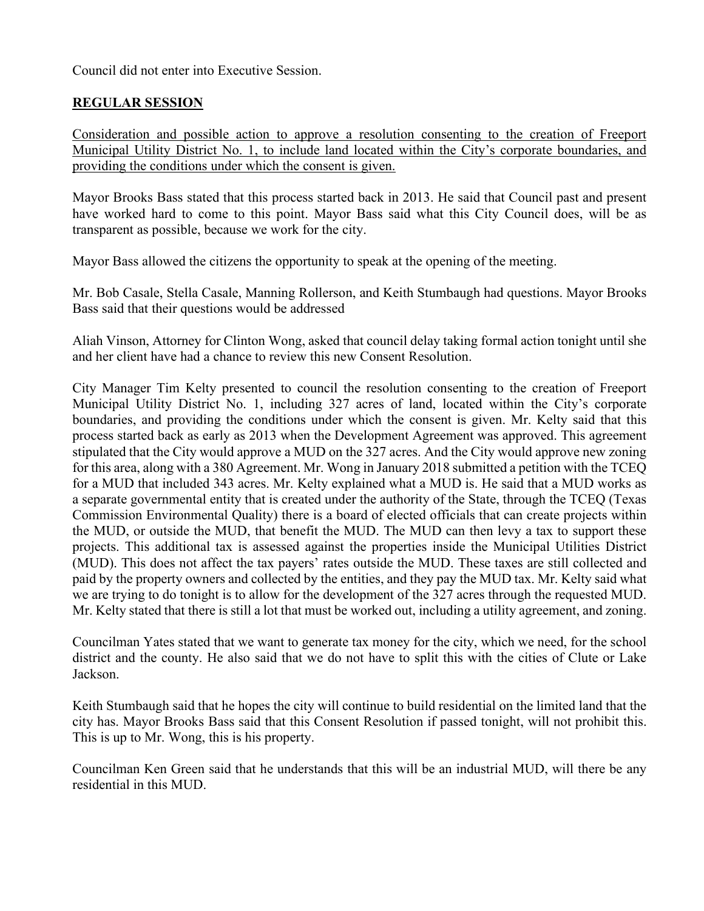Council did not enter into Executive Session.

## **REGULAR SESSION**

Consideration and possible action to approve a resolution consenting to the creation of Freeport Municipal Utility District No. 1, to include land located within the City's corporate boundaries, and providing the conditions under which the consent is given.

Mayor Brooks Bass stated that this process started back in 2013. He said that Council past and present have worked hard to come to this point. Mayor Bass said what this City Council does, will be as transparent as possible, because we work for the city.

Mayor Bass allowed the citizens the opportunity to speak at the opening of the meeting.

Mr. Bob Casale, Stella Casale, Manning Rollerson, and Keith Stumbaugh had questions. Mayor Brooks Bass said that their questions would be addressed

Aliah Vinson, Attorney for Clinton Wong, asked that council delay taking formal action tonight until she and her client have had a chance to review this new Consent Resolution.

City Manager Tim Kelty presented to council the resolution consenting to the creation of Freeport Municipal Utility District No. 1, including 327 acres of land, located within the City's corporate boundaries, and providing the conditions under which the consent is given. Mr. Kelty said that this process started back as early as 2013 when the Development Agreement was approved. This agreement stipulated that the City would approve a MUD on the 327 acres. And the City would approve new zoning for this area, along with a 380 Agreement. Mr. Wong in January 2018 submitted a petition with the TCEQ for a MUD that included 343 acres. Mr. Kelty explained what a MUD is. He said that a MUD works as a separate governmental entity that is created under the authority of the State, through the TCEQ (Texas Commission Environmental Quality) there is a board of elected officials that can create projects within the MUD, or outside the MUD, that benefit the MUD. The MUD can then levy a tax to support these projects. This additional tax is assessed against the properties inside the Municipal Utilities District (MUD). This does not affect the tax payers' rates outside the MUD. These taxes are still collected and paid by the property owners and collected by the entities, and they pay the MUD tax. Mr. Kelty said what we are trying to do tonight is to allow for the development of the 327 acres through the requested MUD. Mr. Kelty stated that there is still a lot that must be worked out, including a utility agreement, and zoning.

Councilman Yates stated that we want to generate tax money for the city, which we need, for the school district and the county. He also said that we do not have to split this with the cities of Clute or Lake Jackson.

Keith Stumbaugh said that he hopes the city will continue to build residential on the limited land that the city has. Mayor Brooks Bass said that this Consent Resolution if passed tonight, will not prohibit this. This is up to Mr. Wong, this is his property.

Councilman Ken Green said that he understands that this will be an industrial MUD, will there be any residential in this MUD.